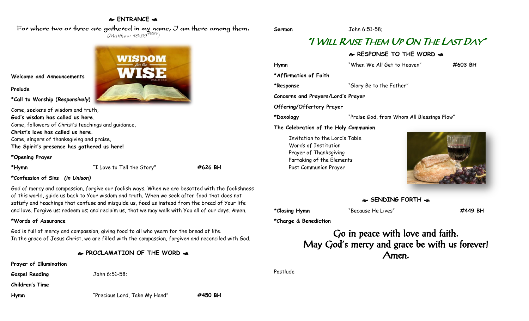#### **ENTRANCE**

For where two or three are gathered in my name, I am there among them.  $(M$ atthew 18:20 $^{NRSV})$ 

**WISDOM** 

**Welcome and Announcements**

**Prelude**

**\*Call to Worship (***Responsively***)** 

Come, seekers of wisdom and truth, **God's wisdom has called us here.** Come, followers of Christ's teachings and guidance, **Christ's love has called us here.** Come, singers of thanksgiving and praise, **The Spirit's presence has gathered us here!**

**\*Opening Prayer**

**\*Hymn** "I Love to Tell the Story" **#626 BH**

**\*Confession of Sins** *(in Unison)*

God of mercy and compassion, forgive our foolish ways. When we are besotted with the foolishness of this world, guide us back to Your wisdom and truth. When we seek after food that does not satisfy and teachings that confuse and misguide us, feed us instead from the bread of Your life and love. Forgive us; redeem us; and reclaim us, that we may walk with You all of our days. Amen.

#### **\*Words of Assurance**

God is full of mercy and compassion, giving food to all who yearn for the bread of life. In the grace of Jesus Christ, we are filled with the compassion, forgiven and reconciled with God.

#### **PROCLAMATION OF THE WORD**

**Prayer of Illumination**

**Gospel Reading** John 6:51-58;

**Children's Time**

**Hymn** "Precious Lord, Take My Hand" **#450 BH**

**Sermon** John 6:51-58;

## "I WILL RAISE THEM UP ON THE LAST DAY"

**& RESPONSE TO THE WORD &** 

**Hymn** "When We All Get to Heaven" **#603 BH \*Affirmation of Faith \*Response** "Glory Be to the Father" **Concerns and Prayers/Lord's Prayer Offering/Offertory Prayer \*Doxology** "Praise God, from Whom All Blessings Flow" **The Celebration of the Holy Communion** Invitation to the Lord's Table Words of Institution Prayer of Thanksgiving Partaking of the Elements Post Communion Prayer



**SENDING FORTH** 

**\*Closing Hymn** "Because He Lives" **#449 BH**

**\*Charge & Benediction**

Go in peace with love and faith. May God's mercy and grace be with us forever! Amen.

Postlude